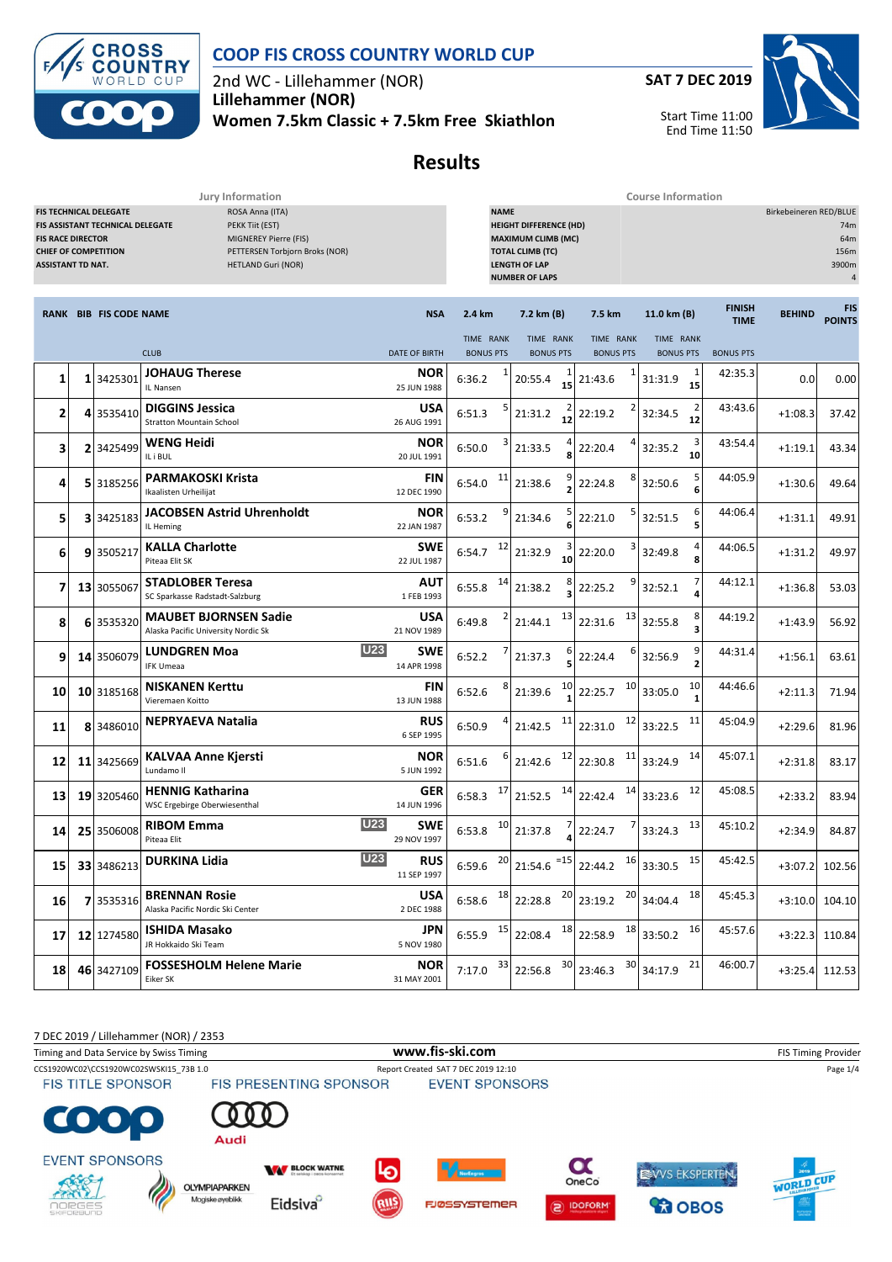

2nd WC - Lillehammer (NOR) **Lillehammer (NOR)**

**Women 7.5km Classic + 7.5km Free Skiathlon**



Start Time 11:00 End Time 11:50



# **Results**

**Jury Information Course Information**

| <b>FIS RACE DIRECTOR</b><br><b>CHIEF OF COMPETITION</b><br><b>ASSISTANT TD NAT.</b> | FIS TECHNICAL DELEGATE<br>FIS ASSISTANT TECHNICAL DELEGATE | ROSA Anna (ITA)<br>PEKK Tiit (EST)<br>MIGNEREY Pierre (FIS)<br>PETTERSEN Torbjorn Broks (NOR)<br><b>HETLAND Guri (NOR)</b> |                                         | <b>NAME</b><br><b>HEIGHT DIFFERENCE (HD)</b><br><b>MAXIMUM CLIMB (MC)</b><br><b>TOTAL CLIMB (TC)</b><br><b>LENGTH OF LAP</b><br><b>NUMBER OF LAPS</b> |                               |                               |                                          |                              | Birkebeineren RED/BLUE<br>74m<br>64m<br>156m<br>3900m<br>$\overline{4}$ |                      |
|-------------------------------------------------------------------------------------|------------------------------------------------------------|----------------------------------------------------------------------------------------------------------------------------|-----------------------------------------|-------------------------------------------------------------------------------------------------------------------------------------------------------|-------------------------------|-------------------------------|------------------------------------------|------------------------------|-------------------------------------------------------------------------|----------------------|
|                                                                                     | <b>RANK BIB FIS CODE NAME</b>                              |                                                                                                                            | <b>NSA</b>                              | 2.4 km                                                                                                                                                | 7.2 km (B)                    | 7.5 km                        | 11.0 km (B)                              | <b>FINISH</b><br><b>TIME</b> | <b>BEHIND</b>                                                           | FIS<br><b>POINTS</b> |
|                                                                                     |                                                            | <b>CLUB</b>                                                                                                                | <b>DATE OF BIRTH</b>                    | TIME RANK<br><b>BONUS PTS</b>                                                                                                                         | TIME RANK<br><b>BONUS PTS</b> | TIME RANK<br><b>BONUS PTS</b> | TIME RANK<br><b>BONUS PTS</b>            | <b>BONUS PTS</b>             |                                                                         |                      |
| 1                                                                                   | 1 3425301                                                  | <b>JOHAUG Therese</b><br>IL Nansen                                                                                         | NOR<br>25 JUN 1988                      | 6:36.2                                                                                                                                                | 1<br>15<br>20:55.4            | 21:43.6                       | $\mathbf{1}$<br>31:31.9<br>15            | 42:35.3                      | 0.0                                                                     | 0.00                 |
| 2                                                                                   | 4 3535410                                                  | <b>DIGGINS Jessica</b><br><b>Stratton Mountain School</b>                                                                  | <b>USA</b><br>26 AUG 1991               | 6:51.3                                                                                                                                                | 21:31.2<br>$\overline{12}$    | 22:19.2                       | $\overline{\mathbf{c}}$<br>32:34.5<br>12 | 43:43.6                      | $+1:08.3$                                                               | 37.42                |
| 3                                                                                   | 2 3425499                                                  | WENG Heidi<br>IL i BUL                                                                                                     | <b>NOR</b><br>20 JUL 1991               | 6:50.0                                                                                                                                                | 21:33.5                       | 22:20.4                       | 3<br>32:35.2<br>10                       | 43:54.4                      | $+1:19.1$                                                               | 43.34                |
| 4                                                                                   | 5 3185256                                                  | <b>PARMAKOSKI Krista</b><br>Ikaalisten Urheilijat                                                                          | <b>FIN</b><br>12 DEC 1990               | 11<br>6:54.0                                                                                                                                          | 21:38.6                       | 8<br>22:24.8                  | 5<br>32:50.6<br>6                        | 44:05.9                      | $+1:30.6$                                                               | 49.64                |
| 5                                                                                   | 3 3425183                                                  | <b>JACOBSEN Astrid Uhrenholdt</b><br>IL Heming                                                                             | NOR<br>22 JAN 1987                      | 9<br>6:53.2                                                                                                                                           | 21:34.6                       | 5<br>22:21.0                  | 6<br>32:51.5<br>5                        | 44:06.4                      | $+1:31.1$                                                               | 49.91                |
| 6                                                                                   | 9 3505217                                                  | <b>KALLA Charlotte</b><br>Piteaa Elit SK                                                                                   | <b>SWE</b><br>22 JUL 1987               | 12<br>6:54.7                                                                                                                                          | 21:32.9<br>10                 | 3<br>22:20.0                  | 4<br>32:49.8<br>8                        | 44:06.5                      | $+1:31.2$                                                               | 49.97                |
| 7                                                                                   | 13 3055067                                                 | <b>STADLOBER Teresa</b><br>SC Sparkasse Radstadt-Salzburg                                                                  | AUT<br>1 FEB 1993                       | 14<br>6:55.8                                                                                                                                          | 21:38.2                       | 22:25.2                       | 32:52.1                                  | 44:12.1                      | $+1:36.8$                                                               | 53.03                |
| 8                                                                                   | 6 3535320                                                  | <b>MAUBET BJORNSEN Sadie</b><br>Alaska Pacific University Nordic Sk                                                        | <b>USA</b><br>21 NOV 1989               | 6:49.8                                                                                                                                                | 13<br>21:44.1                 | 13<br>22:31.6                 | 8<br>32:55.8<br>3                        | 44:19.2                      | $+1:43.9$                                                               | 56.92                |
| 9                                                                                   | 14 3506079                                                 | <b>LUNDGREN Moa</b><br><b>IFK Umeaa</b>                                                                                    | <b>U23</b><br><b>SWE</b><br>14 APR 1998 | 6:52.2                                                                                                                                                | 21:37.3                       | 22:24.4                       | 9<br>32:56.9<br>$\overline{2}$           | 44:31.4                      | $+1:56.1$                                                               | 63.61                |
| 10                                                                                  | 10 3185168                                                 | <b>NISKANEN Kerttu</b><br>Vieremaen Koitto                                                                                 | <b>FIN</b><br>13 JUN 1988               | 6:52.6                                                                                                                                                | 10<br>21:39.6                 | 10<br>22:25.7                 | 10<br>33:05.0                            | 44:46.6                      | $+2:11.3$                                                               | 71.94                |
| 11                                                                                  | 8 3486010                                                  | <b>NEPRYAEVA Natalia</b>                                                                                                   | <b>RUS</b><br>6 SEP 1995                | 6:50.9                                                                                                                                                | 11<br>21:42.5                 | 12<br>22:31.0                 | 11<br>33:22.5                            | 45:04.9                      | $+2:29.6$                                                               | 81.96                |
| 12                                                                                  | 11 3425669                                                 | <b>KALVAA Anne Kjersti</b><br>Lundamo II                                                                                   | NOR<br>5 JUN 1992                       | 6:51.6                                                                                                                                                | 12<br>21:42.6                 | 11<br>22:30.8                 | 14<br>33:24.9                            | 45:07.1                      | $+2:31.8$                                                               | 83.17                |
| 13                                                                                  | 19 3205460                                                 | <b>HENNIG Katharina</b><br>WSC Ergebirge Oberwiesenthal                                                                    | <b>GER</b><br>14 JUN 1996               | 17<br>6:58.3                                                                                                                                          | 14<br>21:52.5                 | 14<br>22:42.4                 | 12<br>33:23.6                            | 45:08.5                      | $+2:33.2$                                                               | 83.94                |
| 14                                                                                  | 25 3506008                                                 | <b>RIBOM Emma</b><br>Piteaa Elit                                                                                           | <b>U23</b><br><b>SWE</b><br>29 NOV 1997 | 10<br>6:53.8                                                                                                                                          | 21:37.8                       | 22:24.7                       | 13<br>33:24.3                            | 45:10.2                      | $+2:34.9$                                                               | 84.87                |
| <b>15</b>                                                                           |                                                            | 33 3486213 DURKINA Lidia                                                                                                   | <b>U23</b><br>RUS<br>11 SEP 1997        | 20<br>6:59.6                                                                                                                                          | $21:54.6$ <sup>=15</sup>      | 22:44.2 16 33:30.5            | 15                                       | 45:42.5                      | +3:07.2 102.56                                                          |                      |
| 16                                                                                  | 7 3535316                                                  | <b>BRENNAN Rosie</b><br>Alaska Pacific Nordic Ski Center                                                                   | USA<br>2 DEC 1988                       | 18<br>6:58.6                                                                                                                                          | 20<br>22:28.8                 | 20<br>23:19.2                 | 18<br>34:04.4                            | 45:45.3                      | $+3:10.0$                                                               | 104.10               |
| 17                                                                                  | 12 1274580                                                 | <b>ISHIDA Masako</b><br>JR Hokkaido Ski Team                                                                               | JPN<br>5 NOV 1980                       | $6:55.9$ <sup>15</sup>                                                                                                                                | 18<br>22:08.4                 | 18<br>22:58.9                 | 16<br>33:50.2                            | 45:57.6                      | $+3:22.3$                                                               | 110.84               |
| 18                                                                                  | 46 3427109                                                 | <b>FOSSESHOLM Helene Marie</b><br>Eiker SK                                                                                 | <b>NOR</b><br>31 MAY 2001               | 33<br>7:17.0                                                                                                                                          | 30<br>22:56.8                 | 30<br>23:46.3                 | 21<br>34:17.9                            | 46:00.7                      | $+3:25.4$                                                               | 112.53               |

7 DEC 2019 / Lillehammer (NOR) / 2353 Timing and Data Service by Swiss Timing **WWW.fis-Ski.com WWW.fis-Ski.com** FIS Timing Provider CCS1920WC02\CCS1920WC02SWSKI15\_73B 1.0 Report Created SAT 7 DEC 2019 12:10 Page 1/4<br>FIS TITLE SPONSOR FIS PRESENTING SPONSOR EVENT SPONSORS **FIS TITLE SPONSOR** Audi **EVENT SPONSORS**  $\boldsymbol{\alpha}$ **WAY BLOCK WATNE** EWVS EKSPERTEN. WORLD CUP OneCo **OLYMPIAPARKEN** Magiske øyeblikk Eidsiva<sup>o</sup> **FJØSSYSTEMER** DOFORM *<u>CO</u>* OBOS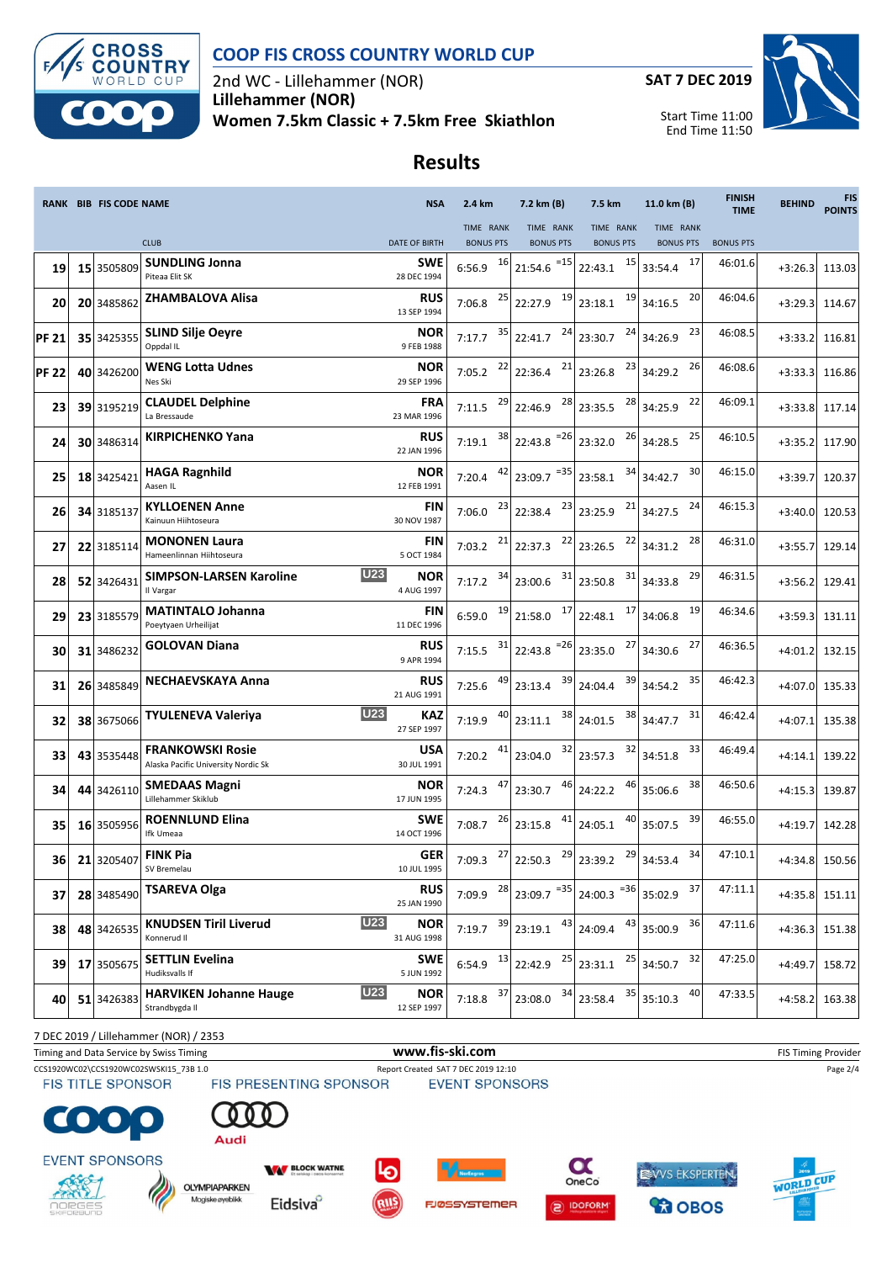

2nd WC - Lillehammer (NOR) **Lillehammer (NOR) Women 7.5km Classic + 7.5km Free Skiathlon**



Start Time 11:00 End Time 11:50

# **Results**

|              | <b>RANK BIB FIS CODE NAME</b> |                                                                | <b>NSA</b>                         | 2.4 km                 | 7.2 km (B)                                                                              | 7.5 km                     | 11.0 km (B)            | <b>FINISH</b><br><b>TIME</b> | <b>BEHIND</b> | <b>FIS</b><br><b>POINTS</b> |
|--------------|-------------------------------|----------------------------------------------------------------|------------------------------------|------------------------|-----------------------------------------------------------------------------------------|----------------------------|------------------------|------------------------------|---------------|-----------------------------|
|              |                               |                                                                |                                    | <b>TIME RANK</b>       | TIME RANK                                                                               | TIME RANK                  | TIME RANK              |                              |               |                             |
|              |                               | <b>CLUB</b><br><b>SUNDLING Jonna</b>                           | <b>DATE OF BIRTH</b><br><b>SWE</b> | <b>BONUS PTS</b>       | <b>BONUS PTS</b>                                                                        | <b>BONUS PTS</b><br>15     | <b>BONUS PTS</b><br>17 | <b>BONUS PTS</b><br>46:01.6  |               |                             |
| 19           | 15 3505809                    | Piteaa Elit SK                                                 | 28 DEC 1994                        | $16 \mid$<br>6:56.9    | $21:54.6$ <sup>=15</sup>                                                                | 22:43.1                    | 33:54.4                |                              | $+3:26.3$     | 113.03                      |
| 20           | 20 3485862                    | <b>ZHAMBALOVA Alisa</b>                                        | <b>RUS</b><br>13 SEP 1994          | 7:06.8                 | $25$ 22:27.9                                                                            | 19<br>$\frac{19}{23:18.1}$ | 20<br>34:16.5          | 46:04.6                      | $+3:29.3$     | 114.67                      |
| <b>PF 21</b> | 35 3425355                    | <b>SLIND Silje Oeyre</b><br>Oppdal IL                          | <b>NOR</b><br>9 FEB 1988           | 7:17.7                 | $\begin{array}{ c c c c c }\n \hline\n & 22:41.7 & 24 & 23:30.7\n \hline\n \end{array}$ | 24                         | 23<br>34:26.9          | 46:08.5                      | $+3:33.2$     | 116.81                      |
| <b>PF 22</b> | 40 3426200                    | <b>WENG Lotta Udnes</b><br>Nes Ski                             | <b>NOR</b><br>29 SEP 1996          | $7:05.2$ <sup>22</sup> | $22:36.4$ <sup>21</sup> 23:26.8                                                         | 23                         | 26<br>34:29.2          | 46:08.6                      | $+3:33.3$     | 116.86                      |
| 23           | 39 3195219                    | <b>CLAUDEL Delphine</b><br>La Bressaude                        | FRA<br>23 MAR 1996                 | 7:11.5                 | $\frac{29}{22:46.9}$                                                                    | 28<br>$\frac{28}{23:35.5}$ | 22<br>34:25.9          | 46:09.1                      | $+3:33.8$     | 117.14                      |
| 24           | 30 3486314                    | <b>KIRPICHENKO Yana</b>                                        | <b>RUS</b><br>22 JAN 1996          | 7:19.1                 | $\frac{38}{22:43.8}$ = 26 23:32.0                                                       | 26                         | 25<br>34:28.5          | 46:10.5                      | $+3:35.2$     | 117.90                      |
| 25           | 18 3425421                    | <b>HAGA Ragnhild</b><br>Aasen IL                               | <b>NOR</b><br>12 FEB 1991          | 7:20.4                 | $\begin{array}{ c c c c c c } \hline 42 & 23:09.7 & & 23:58.1 \\ \hline \end{array}$    | 34                         | 30<br>34:42.7          | 46:15.0                      | $+3:39.7$     | 120.37                      |
| 26           | 34 3185137                    | <b>KYLLOENEN Anne</b><br>Kainuun Hiihtoseura                   | <b>FIN</b><br>30 NOV 1987          | 7:06.0                 | 23<br>$23$ 22:38.4                                                                      | 21<br>23:25.9              | 24<br>34:27.5          | 46:15.3                      | $+3:40.0$     | 120.53                      |
| 27           | 22 3185114                    | <b>MONONEN Laura</b><br>Hameenlinnan Hiihtoseura               | <b>FIN</b><br>5 OCT 1984           | 7:03.2                 | 22<br>$21$ 22:37.3                                                                      | 22<br>23:26.5              | 28<br>34:31.2          | 46:31.0                      | $+3:55.7$     | 129.14                      |
| 28           | 52 3426431                    | <b>U23</b><br><b>SIMPSON-LARSEN Karoline</b><br>Il Vargar      | <b>NOR</b><br>4 AUG 1997           | 34<br>7:17.2           | 23:00.6                                                                                 | $\frac{31}{23:50.8}$<br>31 | 29<br>34:33.8          | 46:31.5                      | $+3:56.2$     | 129.41                      |
| 29           | 23 3185579                    | <b>MATINTALO Johanna</b><br>Poeytyaen Urheilijat               | <b>FIN</b><br>11 DEC 1996          | 19<br>6:59.0           | $21:58.0$ $17$ 22:48.1                                                                  | 17                         | 19<br>34:06.8          | 46:34.6                      | $+3:59.3$     | 131.11                      |
| 30           | 31 3486232                    | <b>GOLOVAN Diana</b>                                           | <b>RUS</b><br>9 APR 1994           | 7:15.5 $31$            | $22:43.8$ <sup>=26</sup>                                                                | 27<br>23:35.0              | 27<br>34:30.6          | 46:36.5                      | $+4:01.2$     | 132.15                      |
| 31           | 26 3485849                    | NECHAEVSKAYA Anna                                              | <b>RUS</b><br>21 AUG 1991          | 49<br>7:25.6           | 39<br>23:13.4                                                                           | 39<br>24:04.4              | 35<br>34:54.2          | 46:42.3                      | $+4:07.0$     | 135.33                      |
| 32           | 38 3675066                    | <b>U23</b><br><b>TYULENEVA Valeriya</b>                        | <b>KAZ</b><br>27 SEP 1997          | 40<br>7:19.9           | 38<br>23:11.1                                                                           | 38<br>24:01.5              | 31<br>34:47.7          | 46:42.4                      | $+4:07.1$     | 135.38                      |
| 33           | 43 3535448                    | <b>FRANKOWSKI Rosie</b><br>Alaska Pacific University Nordic Sk | <b>USA</b><br>30 JUL 1991          | 7:20.2                 | 32<br>23:04.0                                                                           | 32<br>23:57.3              | 33<br>34:51.8          | 46:49.4                      | $+4:14.1$     | 139.22                      |
| 34           | 44 3426110                    | <b>SMEDAAS Magni</b><br>Lillehammer Skiklub                    | NOR<br>17 JUN 1995                 | 47<br>7:24.3           | 46<br>23:30.7                                                                           | 46<br>24:22.2              | 38<br>35:06.6          | 46:50.6                      | $+4:15.3$     | 139.87                      |
| 35           | 16 3505956                    | <b>ROENNLUND Elina</b><br>Ifk Umeaa                            | <b>SWE</b><br>14 OCT 1996          | 7:08.7                 | $26$ 23:15.8<br>41                                                                      | 40<br>24:05.1              | 39<br>35:07.5          | 46:55.0                      | $+4:19.7$     | 142.28                      |
| 36           |                               | 21 3205407 FINK Pia<br>SV Bremelau                             | <b>GER</b><br>10 JUL 1995          |                        | 7:09.3 $^{27}$ 22:50.3 $^{29}$ 23:39.2 $^{29}$ 34:53.4                                  |                            | 34                     | 47:10.1                      |               | +4:34.8 150.56              |
| 37           | 28 3485490                    | <b>TSAREVA Olga</b>                                            | <b>RUS</b><br>25 JAN 1990          | 7:09.9                 | $\begin{array}{ c c c c c c c c } \hline 28 & 23:09.7 & & 24:00.3 \hline \end{array}$   |                            | 37<br>35:02.9          | 47:11.1                      | $+4:35.8$     | 151.11                      |
| 38           | 48 3426535                    | <b>U23</b><br><b>KNUDSEN Tiril Liverud</b><br>Konnerud II      | <b>NOR</b><br>31 AUG 1998          | 39<br>7:19.7           | 43<br>23:19.1                                                                           | 43<br>24:09.4              | 36<br>35:00.9          | 47:11.6                      | $+4:36.3$     | 151.38                      |
| 39           | 17 3505675                    | <b>SETTLIN Evelina</b><br>Hudiksvalls If                       | <b>SWE</b><br>5 JUN 1992           | 6:54.9                 | $\begin{array}{c c} 13 & 22:42.9 \end{array}$<br>25                                     | 25<br>23:31.1              | 32<br>34:50.7          | 47:25.0                      | $+4:49.7$     | 158.72                      |
| 40           | 51 3426383                    | <b>U23</b><br><b>HARVIKEN Johanne Hauge</b><br>Strandbygda II  | <b>NOR</b><br>12 SEP 1997          | 37<br>7:18.8           | 34<br>23:08.0                                                                           | 35<br>23:58.4              | 40<br>35:10.3          | 47:33.5                      | $+4:58.2$     | 163.38                      |

7 DEC 2019 / Lillehammer (NOR) / 2353

Timing and Data Service by Swiss Timing **WWW.fis-Ski.com www.fis-ski.com** FIS Timing Provider

Á

CCS1920WC02\CCS1920WC02SWSKI15\_73B 1.0 Report Created SAT 7 DEC 2019 12:10 Page 2/4<br>FIS TITLE SPONSOR FIS PRESENTING SPONSOR EVENT SPONSORS



**EVENT SPONSORS** 



 $\bullet$ 







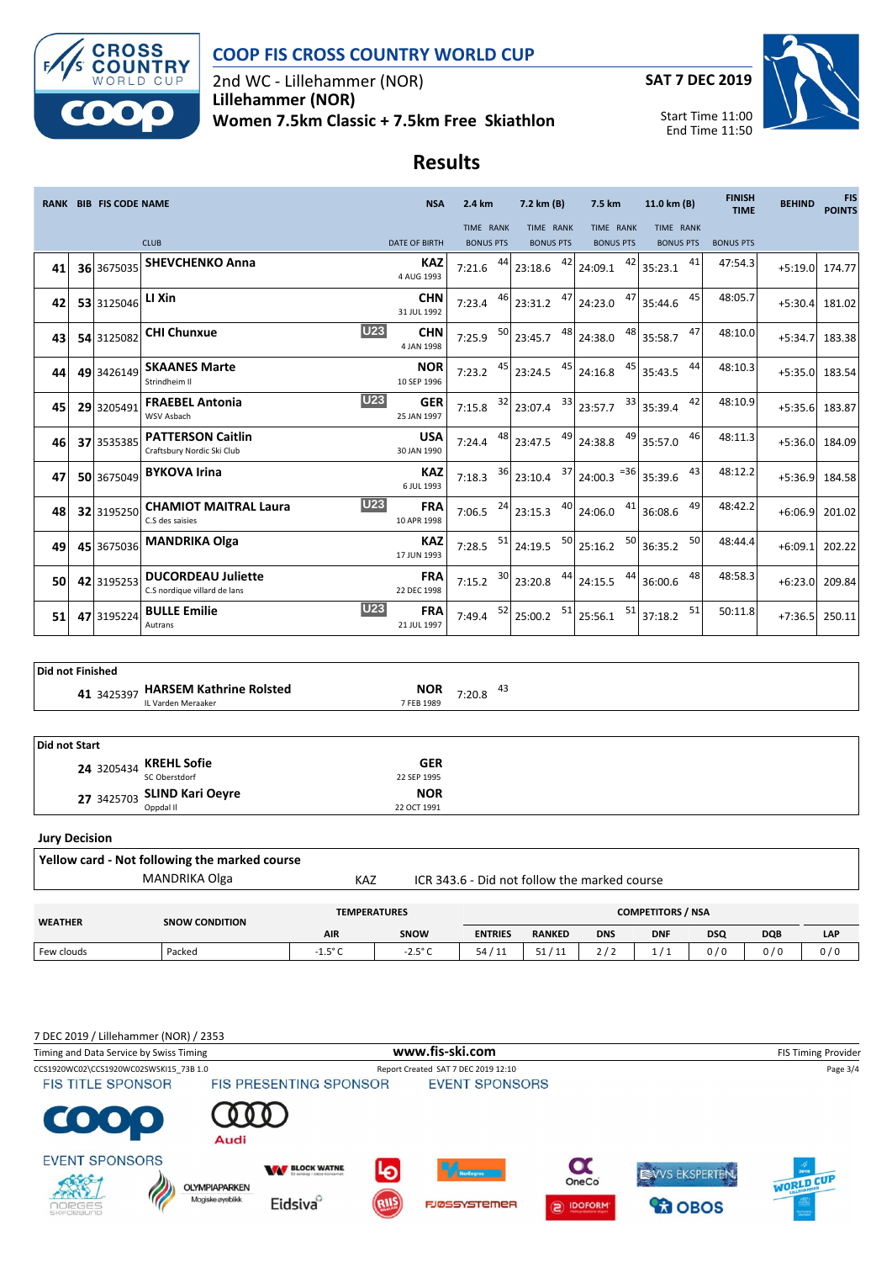

2nd WC - Lillehammer (NOR) **Lillehammer (NOR) Women 7.5km Classic + 7.5km Free Skiathlon**



Start Time 11:00 End Time 11:50

# **Results**

|    | <b>RANK BIB FIS CODE NAME</b> |            | <b>NSA</b>                                                | 2.4 km                                  | 7.2 km (B)                    | 7.5 km                                              | 11.0 km (B)                   | <b>FINISH</b><br><b>TIME</b>  | <b>BEHIND</b>    | <b>FIS</b><br><b>POINTS</b> |        |
|----|-------------------------------|------------|-----------------------------------------------------------|-----------------------------------------|-------------------------------|-----------------------------------------------------|-------------------------------|-------------------------------|------------------|-----------------------------|--------|
|    |                               |            | <b>CLUB</b>                                               | <b>DATE OF BIRTH</b>                    | TIME RANK<br><b>BONUS PTS</b> | TIME RANK<br><b>BONUS PTS</b>                       | TIME RANK<br><b>BONUS PTS</b> | TIME RANK<br><b>BONUS PTS</b> | <b>BONUS PTS</b> |                             |        |
| 41 |                               | 36 3675035 | <b>SHEVCHENKO Anna</b>                                    | <b>KAZ</b><br>4 AUG 1993                | 7:21.6                        | 42<br>23:18.6                                       | 42<br>24:09.1                 | 41<br>35:23.1                 | 47:54.3          | $+5:19.0$                   | 174.77 |
| 42 |                               | 53 3125046 | LI Xin                                                    | <b>CHN</b><br>31 JUL 1992               | 7:23.4                        | 47<br>$46$ 23:31.2                                  | 47<br>24:23.0                 | 45<br>35:44.6                 | 48:05.7          | $+5:30.4$                   | 181.02 |
| 43 |                               | 54 3125082 | <b>CHI Chunxue</b>                                        | <b>U23</b><br><b>CHN</b><br>4 JAN 1998  | 7:25.9                        | $\frac{50}{23:45.7}$<br>48                          | 48<br>24:38.0                 | 47<br>35:58.7                 | 48:10.0          | $+5:34.7$                   | 183.38 |
| 44 |                               | 49 3426149 | <b>SKAANES Marte</b><br>Strindheim II                     | <b>NOR</b><br>10 SEP 1996               | 45<br>7:23.2                  | 45<br>23:24.5                                       | 45<br>24:16.8                 | 44<br>35:43.5                 | 48:10.3          | $+5:35.0$                   | 183.54 |
| 45 |                               | 29 3205491 | <b>FRAEBEL Antonia</b><br>WSV Asbach                      | <b>U23</b><br><b>GER</b><br>25 JAN 1997 | 7:15.8                        | 33<br>$\frac{32}{23:07.4}$                          | 33<br>23:57.7                 | 42<br>35:39.4                 | 48:10.9          | $+5:35.6$                   | 183.87 |
| 46 |                               | 37 3535385 | <b>PATTERSON Caitlin</b><br>Craftsbury Nordic Ski Club    | <b>USA</b><br>30 JAN 1990               | 7:24.4                        | 49<br>48 23:47.5                                    | 49<br>24:38.8                 | 46<br>35:57.0                 | 48:11.3          | $+5:36.0$                   | 184.09 |
| 47 |                               | 50 3675049 | <b>BYKOVA Irina</b>                                       | <b>KAZ</b><br>6 JUL 1993                | 7:18.3                        | 37<br>$36$ 23:10.4                                  | $24:00.3$ <sup>=36</sup>      | 43<br>35:39.6                 | 48:12.2          | $+5:36.9$                   | 184.58 |
| 48 |                               | 32 3195250 | <b>CHAMIOT MAITRAL Laura</b><br>C.S des saisies           | <b>U23</b><br><b>FRA</b><br>10 APR 1998 | 7:06.5                        | 40<br>$24$ 23:15.3                                  | 41<br>24:06.0                 | 49<br>36:08.6                 | 48:42.2          | $+6:06.9$                   | 201.02 |
| 49 |                               | 45 3675036 | <b>MANDRIKA Olga</b>                                      | <b>KAZ</b><br>17 JUN 1993               | 7:28.5                        | 50<br>$\begin{array}{c c} 51 & 24:19.5 \end{array}$ | 50<br>25:16.2                 | 50<br>36:35.2                 | 48:44.4          | $+6:09.1$                   | 202.22 |
| 50 |                               | 42 3195253 | <b>DUCORDEAU Juliette</b><br>C.S nordique villard de lans | <b>FRA</b><br>22 DEC 1998               | 7:15.2                        | $\frac{30}{23:20.8}$<br>44                          | 24:15.5                       | 48<br>$44$ 36:00.6            | 48:58.3          | $+6:23.0$                   | 209.84 |
| 51 |                               | 47 3195224 | <b>BULLE Emilie</b><br>Autrans                            | U23<br><b>FRA</b><br>21 JUL 1997        | 52<br>7:49.4                  | 51<br>25:00.2                                       | 51<br>25:56.1                 | 51<br>37:18.2                 | 50:11.8          | $+7:36.5$                   | 250.11 |

| Did not Finished |                                               |                          |              |  |  |  |  |  |
|------------------|-----------------------------------------------|--------------------------|--------------|--|--|--|--|--|
| 41 3425397       | HARSEM Kathrine Rolsted<br>IL Varden Meraaker | <b>NOR</b><br>7 FEB 1989 | 43<br>7:20.8 |  |  |  |  |  |
|                  |                                               |                          |              |  |  |  |  |  |

| Did not Start |                             |             |  |  |  |  |  |
|---------------|-----------------------------|-------------|--|--|--|--|--|
|               | 24 3205434 KREHL Sofie      | <b>GER</b>  |  |  |  |  |  |
|               | SC Oberstdorf               | 22 SEP 1995 |  |  |  |  |  |
|               | 27 3425703 SLIND Kari Oeyre | <b>NOR</b>  |  |  |  |  |  |
|               | Oppdal II                   | 22 OCT 1991 |  |  |  |  |  |

#### **Jury Decision**

| Yellow card - Not following the marked course |                       |                  |                                              |                |               |                          |            |            |            |     |  |  |
|-----------------------------------------------|-----------------------|------------------|----------------------------------------------|----------------|---------------|--------------------------|------------|------------|------------|-----|--|--|
| MANDRIKA Olga                                 | <b>KAZ</b>            |                  | ICR 343.6 - Did not follow the marked course |                |               |                          |            |            |            |     |  |  |
|                                               |                       |                  | <b>TEMPERATURES</b>                          |                |               | <b>COMPETITORS / NSA</b> |            |            |            |     |  |  |
| <b>WEATHER</b>                                | <b>SNOW CONDITION</b> | <b>AIR</b>       | SNOW                                         | <b>ENTRIES</b> | <b>RANKED</b> | <b>DNS</b>               | <b>DNF</b> | <b>DSQ</b> | <b>DQB</b> | LAP |  |  |
| Few clouds                                    | Packed                | $-1.5^{\circ}$ C | $-2.5^{\circ}$ C                             | 54/11          | 51/11         | 2/2                      | 1/1        | 0/0        | 0/0        | 0/0 |  |  |

#### 7 DEC 2019 / Lillehammer (NOR) / 2353 Timing and Data Service by Swiss Timing **WWW.fis-Ski.com WWW.fis-Ski.com** FIS Timing Provider CCS1920WC02\CCS1920WC02SWSKI15\_73B 1.0 Report Created SAT 7 DEC 2019 12:10 Page 3/4<br>FIS TITLE SPONSOR FIS PRESENTING SPONSOR EVENT SPONSORS  $\bullet$ Audi **EVENT SPONSORS**  $\boldsymbol{\alpha}$ **WAY BLOCK WATNE** EWVS EKSPERTEN. WORLD CUP OneCo **OLYMPIAPARKEN** Á Magiske øyeblikk Eidsiva **FJØSSYSTEMER** DOFORM *<u>CO</u>* OBOS